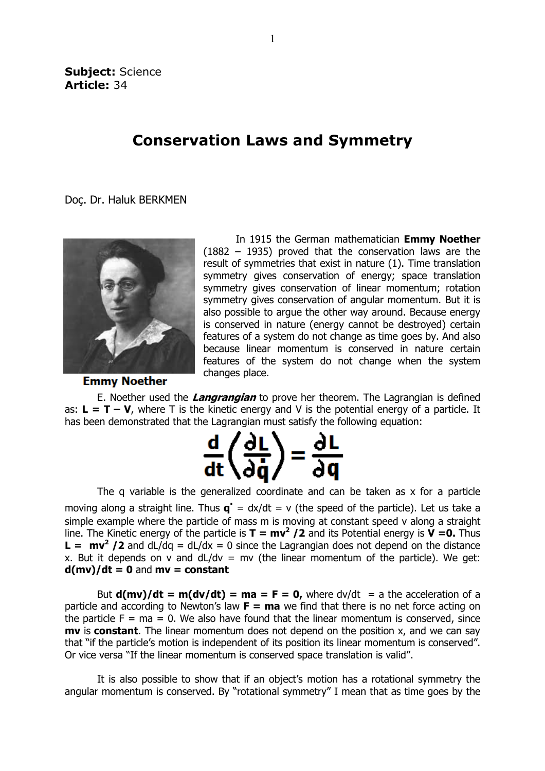## Conservation Laws and Symmetry

Doç. Dr. Haluk BERKMEN



In 1915 the German mathematician **Emmy Noether** (1882 – 1935) proved that the conservation laws are the result of symmetries that exist in nature (1). Time translation symmetry gives conservation of energy; space translation symmetry gives conservation of linear momentum; rotation symmetry gives conservation of angular momentum. But it is also possible to argue the other way around. Because energy is conserved in nature (energy cannot be destroyed) certain features of a system do not change as time goes by. And also because linear momentum is conserved in nature features of the system do not change when the system changes place. served in nature (energy cannot be destroyed) certain<br>es of a system do not change as time goes by. And also<br>se linear momentum is conserved in nature certain

**Emmy Noether** 

E. Noether used the *Langrangian* to prove her theorem. The Lagrangian is defined as:  $L = T - V$ , where T is the kinetic energy and V is the potential energy of a particle. It has been demonstrated that the Lagrangian must satisfy the following equation:



The q variable is the generalized coordinate and can be taken as x for a particle moving along a straight line. Thus  $\mathbf{q}^{\cdot} = dx/dt = v$  (the speed of the particle). Let us take a simple example where the particle of mass m is moving at constant speed v along a straight line. The Kinetic energy of the particle is  $T = mv^2 / 2$  and its Potential energy is  $V = 0$ . Thus **L** =  $mv^2/2$  and dL/dq = dL/dx = 0 since the Lagrangian does not depend on the distance x. But it depends on v and dL/dv = mv (the linear momentum of the particle). We get:  $d(mv)/dt = 0$  and  $mv = constant$ 

But  $d(mv)/dt = m(dv/dt) = ma = F = 0$ , where  $dv/dt = a$  the acceleration of a particle and according to Newton's law  $F = ma$  we find that there is no net force acting on the particle  $F = ma = 0$ . We also have found that the linear momentum is conserved, since  $mv$  is constant. The linear momentum does not depend on the position x, and we can say that "if the particle's motion is independent of its position its linear momentum is conserved". Or vice versa "If the linear momentum is conserved space translation is valid". e fi<br>the<br>dep<br>osit<br>sp<br>t's

It is also possible to show that if an object's motion has a rotational symmetry the angular momentum is conserved. By "rotational symmetry" I mean that as time goes by the